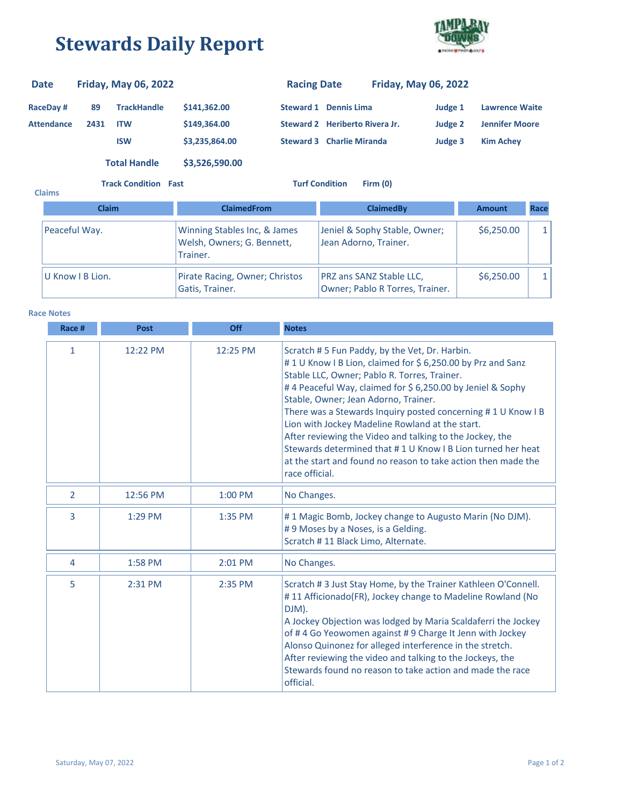## **Stewards Daily Report**



| <b>Date</b>       |      | <b>Friday, May 06, 2022</b> |                | <b>Racing Date</b> |                                  | <b>Friday, May 06, 2022</b> |                       |
|-------------------|------|-----------------------------|----------------|--------------------|----------------------------------|-----------------------------|-----------------------|
| RaceDay #         | 89   | <b>TrackHandle</b>          | \$141,362.00   | Steward 1          | <b>Dennis Lima</b>               | Judge 1                     | <b>Lawrence Waite</b> |
| <b>Attendance</b> | 2431 | <b>ITW</b>                  | \$149,364,00   |                    | Steward 2 Heriberto Rivera Jr.   | Judge 2                     | <b>Jennifer Moore</b> |
|                   |      | <b>ISW</b>                  | \$3,235,864.00 |                    | <b>Steward 3 Charlie Miranda</b> | Judge 3                     | <b>Kim Achev</b>      |
|                   |      | <b>Total Handle</b>         | \$3,526,590.00 |                    |                                  |                             |                       |

**Track Condition Fast Turf Condition Firm (0)**

| <b>Claims</b> |                  |                                                                        |                                                             |               |      |
|---------------|------------------|------------------------------------------------------------------------|-------------------------------------------------------------|---------------|------|
|               | <b>Claim</b>     | <b>ClaimedFrom</b>                                                     | <b>ClaimedBy</b>                                            | <b>Amount</b> | Race |
| Peaceful Way. |                  | Winning Stables Inc, & James<br>Welsh, Owners; G. Bennett,<br>Trainer. | Jeniel & Sophy Stable, Owner;<br>Jean Adorno, Trainer.      | \$6,250.00    |      |
|               | U Know I B Lion. | Pirate Racing, Owner; Christos<br>Gatis, Trainer.                      | PRZ ans SANZ Stable LLC,<br>Owner; Pablo R Torres, Trainer. | \$6,250.00    |      |

**Race Notes**

| Race #         | <b>Post</b> | Off       | <b>Notes</b>                                                                                                                                                                                                                                                                                                                                                                                                                                                                                                                                                                                   |
|----------------|-------------|-----------|------------------------------------------------------------------------------------------------------------------------------------------------------------------------------------------------------------------------------------------------------------------------------------------------------------------------------------------------------------------------------------------------------------------------------------------------------------------------------------------------------------------------------------------------------------------------------------------------|
| $\mathbf{1}$   | 12:22 PM    | 12:25 PM  | Scratch #5 Fun Paddy, by the Vet, Dr. Harbin.<br>#1U Know I B Lion, claimed for \$6,250.00 by Prz and Sanz<br>Stable LLC, Owner; Pablo R. Torres, Trainer.<br>#4 Peaceful Way, claimed for \$6,250.00 by Jeniel & Sophy<br>Stable, Owner; Jean Adorno, Trainer.<br>There was a Stewards Inquiry posted concerning #1U Know IB<br>Lion with Jockey Madeline Rowland at the start.<br>After reviewing the Video and talking to the Jockey, the<br>Stewards determined that #1 U Know I B Lion turned her heat<br>at the start and found no reason to take action then made the<br>race official. |
| $\overline{2}$ | 12:56 PM    | 1:00 PM   | No Changes.                                                                                                                                                                                                                                                                                                                                                                                                                                                                                                                                                                                    |
| 3              | 1:29 PM     | $1:35$ PM | #1 Magic Bomb, Jockey change to Augusto Marin (No DJM).<br>#9 Moses by a Noses, is a Gelding.<br>Scratch #11 Black Limo, Alternate.                                                                                                                                                                                                                                                                                                                                                                                                                                                            |
| 4              | 1:58 PM     | 2:01 PM   | No Changes.                                                                                                                                                                                                                                                                                                                                                                                                                                                                                                                                                                                    |
| 5              | 2:31 PM     | 2:35 PM   | Scratch #3 Just Stay Home, by the Trainer Kathleen O'Connell.<br>#11 Afficionado(FR), Jockey change to Madeline Rowland (No<br>DJM).<br>A Jockey Objection was lodged by Maria Scaldaferri the Jockey<br>of #4 Go Yeowomen against #9 Charge It Jenn with Jockey<br>Alonso Quinonez for alleged interference in the stretch.<br>After reviewing the video and talking to the Jockeys, the<br>Stewards found no reason to take action and made the race<br>official.                                                                                                                            |